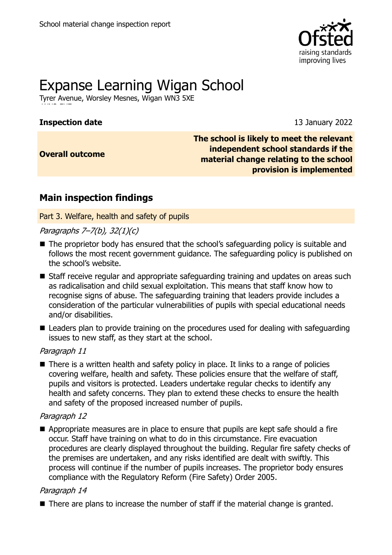

# Expanse Learning Wigan School

Tyrer Avenue, Worsley Mesnes, Wigan WN3 5XE

# **Inspection date** 13 January 2022

**Overall outcome**

**The school is likely to meet the relevant independent school standards if the material change relating to the school provision is implemented**

# **Main inspection findings**

Part 3. Welfare, health and safety of pupils

Paragraphs 7–7(b), 32(1)(c)

- The proprietor body has ensured that the school's safeguarding policy is suitable and follows the most recent government guidance. The safeguarding policy is published on the school's website.
- Staff receive regular and appropriate safeguarding training and updates on areas such as radicalisation and child sexual exploitation. This means that staff know how to recognise signs of abuse. The safeguarding training that leaders provide includes a consideration of the particular vulnerabilities of pupils with special educational needs and/or disabilities.
- Leaders plan to provide training on the procedures used for dealing with safeguarding issues to new staff, as they start at the school.

# Paragraph 11

■ There is a written health and safety policy in place. It links to a range of policies covering welfare, health and safety. These policies ensure that the welfare of staff, pupils and visitors is protected. Leaders undertake regular checks to identify any health and safety concerns. They plan to extend these checks to ensure the health and safety of the proposed increased number of pupils.

# Paragraph 12

■ Appropriate measures are in place to ensure that pupils are kept safe should a fire occur. Staff have training on what to do in this circumstance. Fire evacuation procedures are clearly displayed throughout the building. Regular fire safety checks of the premises are undertaken, and any risks identified are dealt with swiftly. This process will continue if the number of pupils increases. The proprietor body ensures compliance with the Regulatory Reform (Fire Safety) Order 2005.

# Paragraph 14

■ There are plans to increase the number of staff if the material change is granted.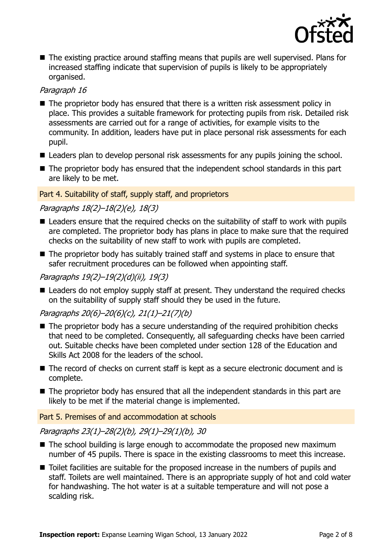

■ The existing practice around staffing means that pupils are well supervised. Plans for increased staffing indicate that supervision of pupils is likely to be appropriately organised.

## Paragraph 16

- The proprietor body has ensured that there is a written risk assessment policy in place. This provides a suitable framework for protecting pupils from risk. Detailed risk assessments are carried out for a range of activities, for example visits to the community. In addition, leaders have put in place personal risk assessments for each pupil.
- Leaders plan to develop personal risk assessments for any pupils joining the school.
- The proprietor body has ensured that the independent school standards in this part are likely to be met.

#### Part 4. Suitability of staff, supply staff, and proprietors

# Paragraphs 18(2)–18(2)(e), 18(3)

- Leaders ensure that the required checks on the suitability of staff to work with pupils are completed. The proprietor body has plans in place to make sure that the required checks on the suitability of new staff to work with pupils are completed.
- The proprietor body has suitably trained staff and systems in place to ensure that safer recruitment procedures can be followed when appointing staff.

## Paragraphs 19(2)–19(2)(d)(ii), 19(3)

■ Leaders do not employ supply staff at present. They understand the required checks on the suitability of supply staff should they be used in the future.

# Paragraphs 20(6)–20(6)(c), 21(1)–21(7)(b)

- The proprietor body has a secure understanding of the required prohibition checks that need to be completed. Consequently, all safeguarding checks have been carried out. Suitable checks have been completed under section 128 of the Education and Skills Act 2008 for the leaders of the school.
- The record of checks on current staff is kept as a secure electronic document and is complete.
- The proprietor body has ensured that all the independent standards in this part are likely to be met if the material change is implemented.

#### Part 5. Premises of and accommodation at schools

Paragraphs 23(1)–28(2)(b), 29(1)–29(1)(b), 30

- $\blacksquare$  The school building is large enough to accommodate the proposed new maximum number of 45 pupils. There is space in the existing classrooms to meet this increase.
- Toilet facilities are suitable for the proposed increase in the numbers of pupils and staff. Toilets are well maintained. There is an appropriate supply of hot and cold water for handwashing. The hot water is at a suitable temperature and will not pose a scalding risk.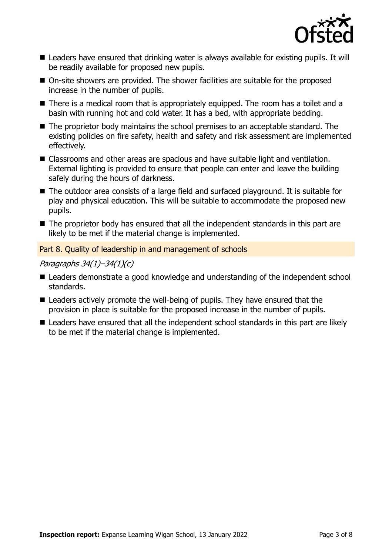

- Leaders have ensured that drinking water is always available for existing pupils. It will be readily available for proposed new pupils.
- On-site showers are provided. The shower facilities are suitable for the proposed increase in the number of pupils.
- There is a medical room that is appropriately equipped. The room has a toilet and a basin with running hot and cold water. It has a bed, with appropriate bedding.
- The proprietor body maintains the school premises to an acceptable standard. The existing policies on fire safety, health and safety and risk assessment are implemented effectively.
- Classrooms and other areas are spacious and have suitable light and ventilation. External lighting is provided to ensure that people can enter and leave the building safely during the hours of darkness.
- The outdoor area consists of a large field and surfaced playground. It is suitable for play and physical education. This will be suitable to accommodate the proposed new pupils.
- The proprietor body has ensured that all the independent standards in this part are likely to be met if the material change is implemented.

Part 8. Quality of leadership in and management of schools

#### Paragraphs 34(1)–34(1)(c)

- Leaders demonstrate a good knowledge and understanding of the independent school standards.
- Leaders actively promote the well-being of pupils. They have ensured that the provision in place is suitable for the proposed increase in the number of pupils.
- Leaders have ensured that all the independent school standards in this part are likely to be met if the material change is implemented.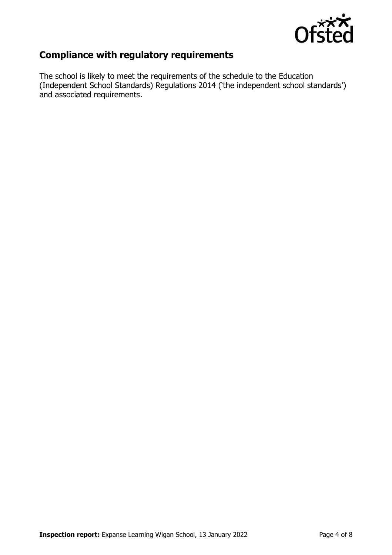

# **Compliance with regulatory requirements**

The school is likely to meet the requirements of the schedule to the Education (Independent School Standards) Regulations 2014 ('the independent school standards') and associated requirements.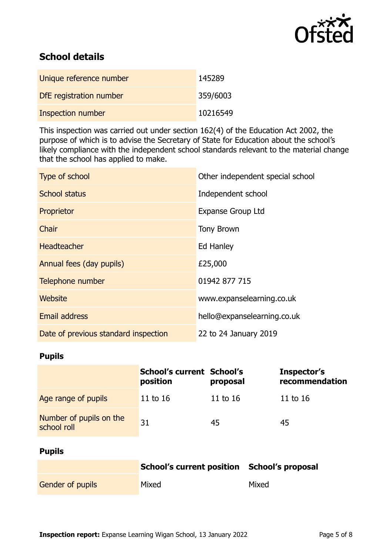

# **School details**

| Unique reference number  | 145289   |
|--------------------------|----------|
| DfE registration number  | 359/6003 |
| <b>Inspection number</b> | 10216549 |

This inspection was carried out under section 162(4) of the Education Act 2002, the purpose of which is to advise the Secretary of State for Education about the school's likely compliance with the independent school standards relevant to the material change that the school has applied to make.

| Type of school                       | Other independent special school |
|--------------------------------------|----------------------------------|
| School status                        | Independent school               |
| Proprietor                           | <b>Expanse Group Ltd</b>         |
| Chair                                | <b>Tony Brown</b>                |
| <b>Headteacher</b>                   | Ed Hanley                        |
| Annual fees (day pupils)             | £25,000                          |
| Telephone number                     | 01942 877 715                    |
| Website                              | www.expanselearning.co.uk        |
| <b>Email address</b>                 | hello@expanselearning.co.uk      |
| Date of previous standard inspection | 22 to 24 January 2019            |

#### **Pupils**

|                                        | <b>School's current School's</b><br>position | proposal | Inspector's<br>recommendation |
|----------------------------------------|----------------------------------------------|----------|-------------------------------|
| Age range of pupils                    | 11 to 16                                     | 11 to 16 | 11 to $16$                    |
| Number of pupils on the<br>school roll | 31                                           | 45       | 45                            |

# **Pupils**

|                         | School's current position School's proposal |       |
|-------------------------|---------------------------------------------|-------|
| <b>Gender of pupils</b> | Mixed                                       | Mixed |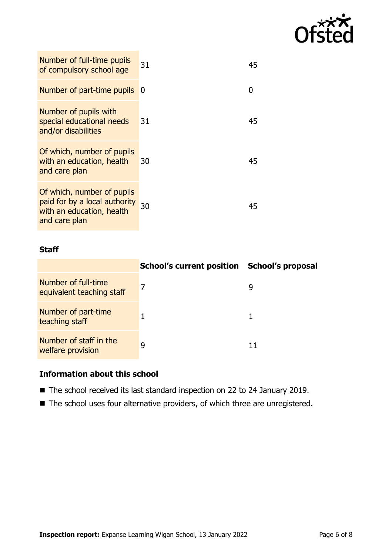

| Number of full-time pupils<br>of compulsory school age                                                    | 31       | 45 |
|-----------------------------------------------------------------------------------------------------------|----------|----|
| Number of part-time pupils                                                                                | <b>O</b> | O  |
| Number of pupils with<br>special educational needs<br>and/or disabilities                                 | 31       | 45 |
| Of which, number of pupils<br>with an education, health<br>and care plan                                  | 30       | 45 |
| Of which, number of pupils<br>paid for by a local authority<br>with an education, health<br>and care plan | 30       | 45 |

#### **Staff**

|                                                  | School's current position School's proposal |   |
|--------------------------------------------------|---------------------------------------------|---|
| Number of full-time<br>equivalent teaching staff | 7                                           | q |
| Number of part-time<br>teaching staff            |                                             |   |
| Number of staff in the<br>welfare provision      | q                                           |   |

# **Information about this school**

- The school received its last standard inspection on 22 to 24 January 2019.
- The school uses four alternative providers, of which three are unregistered.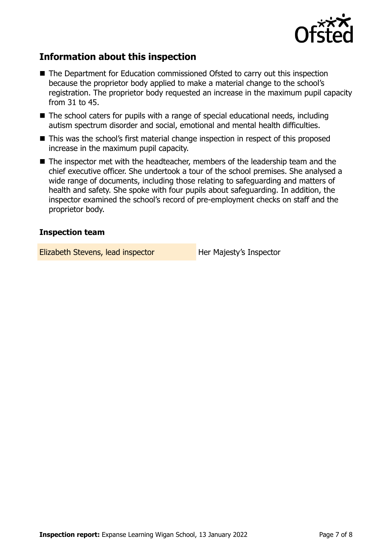

# **Information about this inspection**

- The Department for Education commissioned Ofsted to carry out this inspection because the proprietor body applied to make a material change to the school's registration. The proprietor body requested an increase in the maximum pupil capacity from 31 to 45.
- $\blacksquare$  The school caters for pupils with a range of special educational needs, including autism spectrum disorder and social, emotional and mental health difficulties.
- This was the school's first material change inspection in respect of this proposed increase in the maximum pupil capacity.
- The inspector met with the headteacher, members of the leadership team and the chief executive officer. She undertook a tour of the school premises. She analysed a wide range of documents, including those relating to safeguarding and matters of health and safety. She spoke with four pupils about safeguarding. In addition, the inspector examined the school's record of pre-employment checks on staff and the proprietor body.

#### **Inspection team**

Elizabeth Stevens, lead inspector **Her Majesty's Inspector**